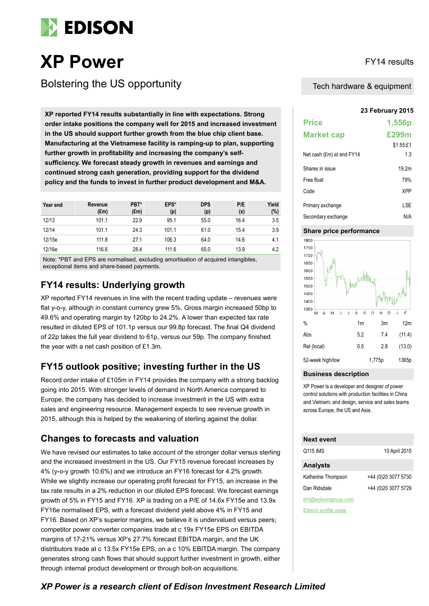

# **XP Power** FY14 results

Bolstering the US opportunity

**XP reported FY14 results substantially in line with expectations. Strong order intake positions the company well for 2015 and increased investment in the US should support further growth from the blue chip client base. Manufacturing at the Vietnamese facility is ramping-up to plan, supporting further growth in profitability and increasing the company's selfsufficiency. We forecast steady growth in revenues and earnings and continued strong cash generation, providing support for the dividend policy and the funds to invest in further product development and M&A.**

| Year end | Revenue<br>$(\text{Em})$ | PBT*<br>$(\text{Em})$ | EPS*<br>(p) | <b>DPS</b><br>(p) | P/E<br>(x) | Yield<br>(%) |
|----------|--------------------------|-----------------------|-------------|-------------------|------------|--------------|
| 12/13    | 101.1                    | 22.9                  | 95.1        | 55.0              | 16.4       | 3.5          |
| 12/14    | 101.1                    | 24.3                  | 101.1       | 61.0              | 15.4       | 3.9          |
| 12/15e   | 111.8                    | 27.1                  | 106.3       | 64.0              | 14.6       | 4.1          |
| 12/16e   | 116.6                    | 28.4                  | 111.6       | 65.0              | 13.9       | 4.2          |

Note: \*PBT and EPS are normalised, excluding amortisation of acquired intangibles, exceptional items and share-based payments.

### **FY14 results: Underlying growth**

XP reported FY14 revenues in line with the recent trading update – revenues were flat y-o-y, although in constant currency grew 5%. Gross margin increased 50bp to 49.6% and operating margin by 120bp to 24.2%. A lower than expected tax rate resulted in diluted EPS of 101.1p versus our 99.8p forecast. The final Q4 dividend of 22p takes the full year dividend to 61p, versus our 59p. The company finished the year with a net cash position of £1.3m.

### **FY15 outlook positive; investing further in the US**

Record order intake of £105m in FY14 provides the company with a strong backlog going into 2015. With stronger levels of demand in North America compared to Europe, the company has decided to increase investment in the US with extra sales and engineering resource. Management expects to see revenue growth in 2015, although this is helped by the weakening of sterling against the dollar.

### **Changes to forecasts and valuation**

We have revised our estimates to take account of the stronger dollar versus sterling and the increased investment in the US. Our FY15 revenue forecast increases by 4% (y-o-y growth 10.6%) and we introduce an FY16 forecast for 4.2% growth. While we slightly increase our operating profit forecast for FY15, an increase in the tax rate results in a 2% reduction in our diluted EPS forecast. We forecast earnings growth of 5% in FY15 and FY16. XP is trading on a P/E of 14.6x FY15e and 13.9x FY16e normalised EPS, with a forecast dividend yield above 4% in FY15 and FY16. Based on XP's superior margins, we believe it is undervalued versus peers; competitor power converter companies trade at c 19x FY15e EPS on EBITDA margins of 17-21% versus XP's 27.7% forecast EBITDA margin, and the UK distributors trade at c 13.5x FY15e EPS, on a c 10% EBITDA margin. The company generates strong cash flows that should support further investment in growth, either through internal product development or through bolt-on acquisitions.

Tech hardware & equipment

#### **23 February 2015**

| <b>Price</b>              | 1,556p            |
|---------------------------|-------------------|
| <b>Market cap</b>         | £299m             |
|                           | \$1.55 f1         |
| Net cash (£m) at end FY14 | 1.3               |
| Shares in issue           | 19.2 <sub>m</sub> |
| Free float                | 79%               |
| Code                      | <b>XPP</b>        |
| Primary exchange          | LSE               |
| Secondary exchange        | N/A               |

#### **Share price performance**



#### **Business description**

XP Power is a developer and designer of power control solutions with production facilities in China and Vietnam; and design, service and sales teams across Europe, the US and Asia.

| <b>Next event</b>   |                     |
|---------------------|---------------------|
| Q115 IMS            | 10 April 2015       |
| <b>Analysts</b>     |                     |
| Katherine Thompson  | +44 (0)20 3077 5730 |
| Dan Ridsdale        | +44 (0)20 3077 5729 |
| tmt@edisongroup.com |                     |

[Edison profile page](http://www.edisoninvestmentresearch.com/research/company/XP-Power)

*XP Power is a research client of Edison Investment Research Limited*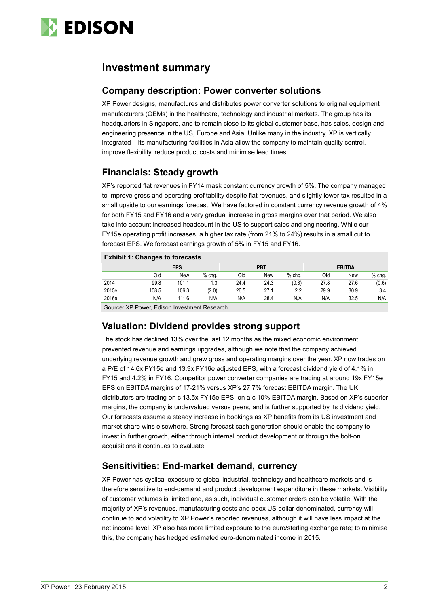

### **Investment summary**

### **Company description: Power converter solutions**

XP Power designs, manufactures and distributes power converter solutions to original equipment manufacturers (OEMs) in the healthcare, technology and industrial markets. The group has its headquarters in Singapore, and to remain close to its global customer base, has sales, design and engineering presence in the US, Europe and Asia. Unlike many in the industry, XP is vertically integrated – its manufacturing facilities in Asia allow the company to maintain quality control, improve flexibility, reduce product costs and minimise lead times.

### **Financials: Steady growth**

XP's reported flat revenues in FY14 mask constant currency growth of 5%. The company managed to improve gross and operating profitability despite flat revenues, and slightly lower tax resulted in a small upside to our earnings forecast. We have factored in constant currency revenue growth of 4% for both FY15 and FY16 and a very gradual increase in gross margins over that period. We also take into account increased headcount in the US to support sales and engineering. While our FY15e operating profit increases, a higher tax rate (from 21% to 24%) results in a small cut to forecast EPS. We forecast earnings growth of 5% in FY15 and FY16.

#### **Exhibit 1: Changes to forecasts**

|       | <b>LATING 1. URRINGS to TULECASTS</b> |       |          |            |      |          |               |      |          |  |
|-------|---------------------------------------|-------|----------|------------|------|----------|---------------|------|----------|--|
|       | <b>EPS</b>                            |       |          | <b>PBT</b> |      |          | <b>EBITDA</b> |      |          |  |
|       | Old                                   | New   | $%$ chq. | Old        | New  | $%$ chg. | Old           | New  | $%$ chg. |  |
| 2014  | 99.8                                  | 101.1 | 1.3      | 24.4       | 24.3 | (0.3)    | 27.8          | 27.6 | (0.6)    |  |
| 2015e | 108.5                                 | 106.3 | (2.0)    | 26.5       | 27.1 | 2.2      | 29.9          | 30.9 | 3.4      |  |
| 2016e | N/A                                   | 111.6 | N/A      | N/A        | 28.4 | N/A      | N/A           | 32.5 | N/A      |  |
|       |                                       |       |          |            |      |          |               |      |          |  |

Source: XP Power, Edison Investment Research

### **Valuation: Dividend provides strong support**

The stock has declined 13% over the last 12 months as the mixed economic environment prevented revenue and earnings upgrades, although we note that the company achieved underlying revenue growth and grew gross and operating margins over the year. XP now trades on a P/E of 14.6x FY15e and 13.9x FY16e adjusted EPS, with a forecast dividend yield of 4.1% in FY15 and 4.2% in FY16. Competitor power converter companies are trading at around 19x FY15e EPS on EBITDA margins of 17-21% versus XP's 27.7% forecast EBITDA margin. The UK distributors are trading on c 13.5x FY15e EPS, on a c 10% EBITDA margin. Based on XP's superior margins, the company is undervalued versus peers, and is further supported by its dividend yield. Our forecasts assume a steady increase in bookings as XP benefits from its US investment and market share wins elsewhere. Strong forecast cash generation should enable the company to invest in further growth, either through internal product development or through the bolt-on acquisitions it continues to evaluate.

### **Sensitivities: End-market demand, currency**

XP Power has cyclical exposure to global industrial, technology and healthcare markets and is therefore sensitive to end-demand and product development expenditure in these markets. Visibility of customer volumes is limited and, as such, individual customer orders can be volatile. With the majority of XP's revenues, manufacturing costs and opex US dollar-denominated, currency will continue to add volatility to XP Power's reported revenues, although it will have less impact at the net income level. XP also has more limited exposure to the euro/sterling exchange rate; to minimise this, the company has hedged estimated euro-denominated income in 2015.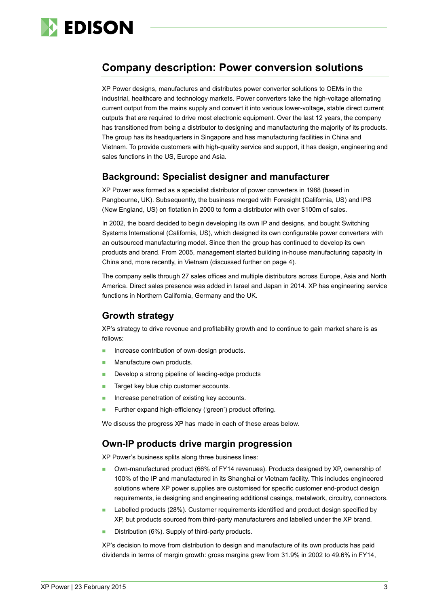

## **Company description: Power conversion solutions**

XP Power designs, manufactures and distributes power converter solutions to OEMs in the industrial, healthcare and technology markets. Power converters take the high-voltage alternating current output from the mains supply and convert it into various lower-voltage, stable direct current outputs that are required to drive most electronic equipment. Over the last 12 years, the company has transitioned from being a distributor to designing and manufacturing the majority of its products. The group has its headquarters in Singapore and has manufacturing facilities in China and Vietnam. To provide customers with high-quality service and support, it has design, engineering and sales functions in the US, Europe and Asia.

### **Background: Specialist designer and manufacturer**

XP Power was formed as a specialist distributor of power converters in 1988 (based in Pangbourne, UK). Subsequently, the business merged with Foresight (California, US) and IPS (New England, US) on flotation in 2000 to form a distributor with over \$100m of sales.

In 2002, the board decided to begin developing its own IP and designs, and bought Switching Systems International (California, US), which designed its own configurable power converters with an outsourced manufacturing model. Since then the group has continued to develop its own products and brand. From 2005, management started building in-house manufacturing capacity in China and, more recently, in Vietnam (discussed further on page 4).

The company sells through 27 sales offices and multiple distributors across Europe, Asia and North America. Direct sales presence was added in Israel and Japan in 2014. XP has engineering service functions in Northern California, Germany and the UK.

### **Growth strategy**

XP's strategy to drive revenue and profitability growth and to continue to gain market share is as follows:

- **Increase contribution of own-design products.**
- **Manufacture own products.**
- **Develop a strong pipeline of leading-edge products**
- **Target key blue chip customer accounts.**
- **Increase penetration of existing key accounts.**
- **Further expand high-efficiency ('green') product offering.**

We discuss the progress XP has made in each of these areas below.

### **Own-IP products drive margin progression**

XP Power's business splits along three business lines:

- Own-manufactured product (66% of FY14 revenues). Products designed by XP, ownership of 100% of the IP and manufactured in its Shanghai or Vietnam facility. This includes engineered solutions where XP power supplies are customised for specific customer end-product design requirements, ie designing and engineering additional casings, metalwork, circuitry, connectors.
- Labelled products (28%). Customer requirements identified and product design specified by XP, but products sourced from third-party manufacturers and labelled under the XP brand.
- Distribution (6%). Supply of third-party products.

XP's decision to move from distribution to design and manufacture of its own products has paid dividends in terms of margin growth: gross margins grew from 31.9% in 2002 to 49.6% in FY14,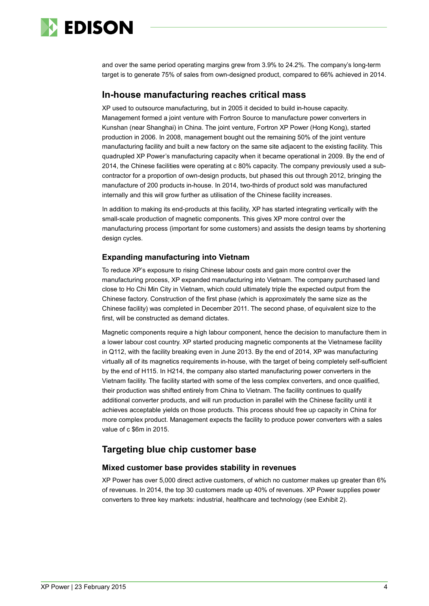

and over the same period operating margins grew from 3.9% to 24.2%. The company's long-term target is to generate 75% of sales from own-designed product, compared to 66% achieved in 2014.

### **In-house manufacturing reaches critical mass**

XP used to outsource manufacturing, but in 2005 it decided to build in-house capacity. Management formed a joint venture with Fortron Source to manufacture power converters in Kunshan (near Shanghai) in China. The joint venture, Fortron XP Power (Hong Kong), started production in 2006. In 2008, management bought out the remaining 50% of the joint venture manufacturing facility and built a new factory on the same site adjacent to the existing facility. This quadrupled XP Power's manufacturing capacity when it became operational in 2009. By the end of 2014, the Chinese facilities were operating at c 80% capacity. The company previously used a subcontractor for a proportion of own-design products, but phased this out through 2012, bringing the manufacture of 200 products in-house. In 2014, two-thirds of product sold was manufactured internally and this will grow further as utilisation of the Chinese facility increases.

In addition to making its end-products at this facility, XP has started integrating vertically with the small-scale production of magnetic components. This gives XP more control over the manufacturing process (important for some customers) and assists the design teams by shortening design cycles.

#### **Expanding manufacturing into Vietnam**

To reduce XP's exposure to rising Chinese labour costs and gain more control over the manufacturing process, XP expanded manufacturing into Vietnam. The company purchased land close to Ho Chi Min City in Vietnam, which could ultimately triple the expected output from the Chinese factory. Construction of the first phase (which is approximately the same size as the Chinese facility) was completed in December 2011. The second phase, of equivalent size to the first, will be constructed as demand dictates.

Magnetic components require a high labour component, hence the decision to manufacture them in a lower labour cost country. XP started producing magnetic components at the Vietnamese facility in Q112, with the facility breaking even in June 2013. By the end of 2014, XP was manufacturing virtually all of its magnetics requirements in-house, with the target of being completely self-sufficient by the end of H115. In H214, the company also started manufacturing power converters in the Vietnam facility. The facility started with some of the less complex converters, and once qualified, their production was shifted entirely from China to Vietnam. The facility continues to qualify additional converter products, and will run production in parallel with the Chinese facility until it achieves acceptable yields on those products. This process should free up capacity in China for more complex product. Management expects the facility to produce power converters with a sales value of c \$6m in 2015.

### **Targeting blue chip customer base**

#### **Mixed customer base provides stability in revenues**

XP Power has over 5,000 direct active customers, of which no customer makes up greater than 6% of revenues. In 2014, the top 30 customers made up 40% of revenues. XP Power supplies power converters to three key markets: industrial, healthcare and technology (see Exhibit 2).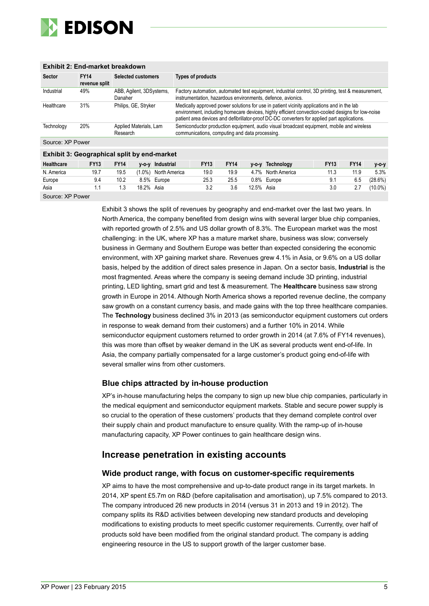

#### **Exhibit 2: End-market breakdown**

| <b>Sector</b>    | <b>FY14</b><br>revenue split | <b>Selected customers</b>           | <b>Types of products</b>                                                                                                                                                                                                                                                                        |
|------------------|------------------------------|-------------------------------------|-------------------------------------------------------------------------------------------------------------------------------------------------------------------------------------------------------------------------------------------------------------------------------------------------|
| Industrial       | 49%                          | ABB, Agilent, 3DSystems,<br>Danaher | Factory automation, automated test equipment, industrial control, 3D printing, test & measurement,<br>instrumentation, hazardous environments, defence, avionics.                                                                                                                               |
| Healthcare       | 31%                          | Philips, GE, Stryker                | Medically approved power solutions for use in patient vicinity applications and in the lab<br>environment, including homecare devices, highly efficient convection-cooled designs for low-noise<br>patient area devices and defibrillator-proof DC-DC converters for applied part applications. |
| Technology       | 20%                          | Applied Materials, Lam<br>Research  | Semiconductor production equipment, audio visual broadcast equipment, mobile and wireless<br>communications, computing and data processing.                                                                                                                                                     |
| Source: XP Power |                              |                                     |                                                                                                                                                                                                                                                                                                 |
|                  |                              |                                     |                                                                                                                                                                                                                                                                                                 |

#### **Exhibit 3: Geographical split by end-market**

| <b>Healthcare</b> | <b>FY13</b> | <b>FY14</b> |           | v-o-v Industrial | <b>FY13</b> | <b>FY14</b> | $V-O-V$ | Technology         | <b>FY13</b> | <b>FY14</b> | $V - O - V$ |
|-------------------|-------------|-------------|-----------|------------------|-------------|-------------|---------|--------------------|-------------|-------------|-------------|
| N. America        | 19.7        | 19.5        | $(1.0\%)$ | North America    | 19.0        | 19.9        |         | 4.7% North America |             | 11.9        | 5.3%        |
| Europe            | 9.4         | 10.2        | 8.5%      | Europe           | 25.3        | 25.5        |         | 0.8% Europe        |             | 6.5         | (28.6%)     |
| Asia              |             |             | 18.2%     | Asia             |             | 3.6         | 12.5%   | Asia               |             | 2.7         | $(10.0\%)$  |

Source: XP Power

Exhibit 3 shows the split of revenues by geography and end-market over the last two years. In North America, the company benefited from design wins with several larger blue chip companies, with reported growth of 2.5% and US dollar growth of 8.3%. The European market was the most challenging: in the UK, where XP has a mature market share, business was slow; conversely business in Germany and Southern Europe was better than expected considering the economic environment, with XP gaining market share. Revenues grew 4.1% in Asia, or 9.6% on a US dollar basis, helped by the addition of direct sales presence in Japan. On a sector basis, **Industrial** is the most fragmented. Areas where the company is seeing demand include 3D printing, industrial printing, LED lighting, smart grid and test & measurement. The **Healthcare** business saw strong growth in Europe in 2014. Although North America shows a reported revenue decline, the company saw growth on a constant currency basis, and made gains with the top three healthcare companies. The **Technology** business declined 3% in 2013 (as semiconductor equipment customers cut orders in response to weak demand from their customers) and a further 10% in 2014. While semiconductor equipment customers returned to order growth in 2014 (at 7.6% of FY14 revenues), this was more than offset by weaker demand in the UK as several products went end-of-life. In Asia, the company partially compensated for a large customer's product going end-of-life with several smaller wins from other customers.

#### **Blue chips attracted by in-house production**

XP's in-house manufacturing helps the company to sign up new blue chip companies, particularly in the medical equipment and semiconductor equipment markets. Stable and secure power supply is so crucial to the operation of these customers' products that they demand complete control over their supply chain and product manufacture to ensure quality. With the ramp-up of in-house manufacturing capacity, XP Power continues to gain healthcare design wins.

#### **Increase penetration in existing accounts**

#### **Wide product range, with focus on customer-specific requirements**

XP aims to have the most comprehensive and up-to-date product range in its target markets. In 2014, XP spent £5.7m on R&D (before capitalisation and amortisation), up 7.5% compared to 2013. The company introduced 26 new products in 2014 (versus 31 in 2013 and 19 in 2012). The company splits its R&D activities between developing new standard products and developing modifications to existing products to meet specific customer requirements. Currently, over half of products sold have been modified from the original standard product. The company is adding engineering resource in the US to support growth of the larger customer base.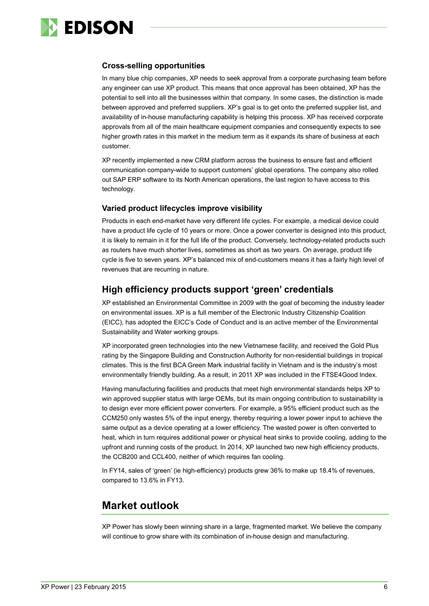

#### **Cross-selling opportunities**

In many blue chip companies, XP needs to seek approval from a corporate purchasing team before any engineer can use XP product. This means that once approval has been obtained, XP has the potential to sell into all the businesses within that company. In some cases, the distinction is made between approved and preferred suppliers. XP's goal is to get onto the preferred supplier list, and availability of in-house manufacturing capability is helping this process. XP has received corporate approvals from all of the main healthcare equipment companies and consequently expects to see higher growth rates in this market in the medium term as it expands its share of business at each customer.

XP recently implemented a new CRM platform across the business to ensure fast and efficient communication company-wide to support customers' global operations. The company also rolled out SAP ERP software to its North American operations, the last region to have access to this technology.

#### **Varied product lifecycles improve visibility**

Products in each end-market have very different life cycles. For example, a medical device could have a product life cycle of 10 years or more. Once a power converter is designed into this product, it is likely to remain in it for the full life of the product. Conversely, technology-related products such as routers have much shorter lives, sometimes as short as two years. On average, product life cycle is five to seven years. XP's balanced mix of end-customers means it has a fairly high level of revenues that are recurring in nature.

### **High efficiency products support 'green' credentials**

XP established an Environmental Committee in 2009 with the goal of becoming the industry leader on environmental issues. XP is a full member of the Electronic Industry Citizenship Coalition (EICC), has adopted the EICC's Code of Conduct and is an active member of the Environmental Sustainability and Water working groups.

XP incorporated green technologies into the new Vietnamese facility, and received the Gold Plus rating by the Singapore Building and Construction Authority for non-residential buildings in tropical climates. This is the first BCA Green Mark industrial facility in Vietnam and is the industry's most environmentally friendly building. As a result, in 2011 XP was included in the FTSE4Good Index.

Having manufacturing facilities and products that meet high environmental standards helps XP to win approved supplier status with large OEMs, but its main ongoing contribution to sustainability is to design ever more efficient power converters. For example, a 95% efficient product such as the CCM250 only wastes 5% of the input energy, thereby requiring a lower power input to achieve the same output as a device operating at a lower efficiency. The wasted power is often converted to heat, which in turn requires additional power or physical heat sinks to provide cooling, adding to the upfront and running costs of the product. In 2014, XP launched two new high efficiency products, the CCB200 and CCL400, neither of which requires fan cooling.

In FY14, sales of 'green' (ie high-efficiency) products grew 36% to make up 18.4% of revenues. compared to 13.6% in FY13.

### **Market outlook**

XP Power has slowly been winning share in a large, fragmented market. We believe the company will continue to grow share with its combination of in-house design and manufacturing.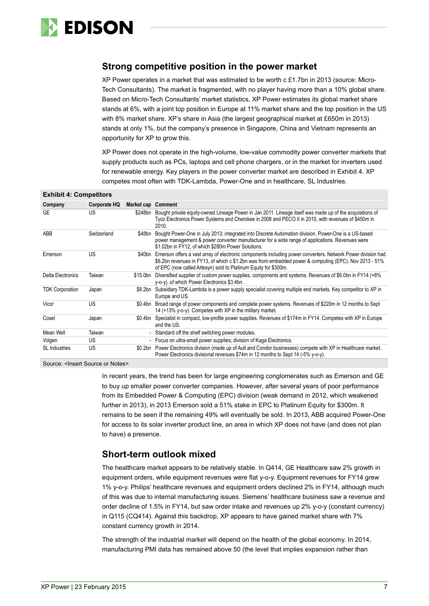

### **Strong competitive position in the power market**

XP Power operates in a market that was estimated to be worth c  $£1.7$ bn in 2013 (source: Micro-Tech Consultants). The market is fragmented, with no player having more than a 10% global share. Based on Micro-Tech Consultants' market statistics, XP Power estimates its global market share stands at 6%, with a joint top position in Europe at 11% market share and the top position in the US with 8% market share. XP's share in Asia (the largest geographical market at £650m in 2013) stands at only 1%, but the company's presence in Singapore, China and Vietnam represents an opportunity for XP to grow this.

XP Power does not operate in the high-volume, low-value commodity power converter markets that supply products such as PCs, laptops and cell phone chargers, or in the market for inverters used for renewable energy. Key players in the power converter market are described in Exhibit 4. XP competes most often with TDK-Lambda, Power-One and in healthcare, SL Industries.

#### **Exhibit 4: Competitors**

| Company                | Corporate HQ | <b>Market cap Comment</b> |                                                                                                                                                                                                                                                                                          |
|------------------------|--------------|---------------------------|------------------------------------------------------------------------------------------------------------------------------------------------------------------------------------------------------------------------------------------------------------------------------------------|
| GE                     | US           | \$248bn                   | Bought private equity-owned Lineage Power in Jan 2011. Lineage itself was made up of the acquisitions of<br>Tyco Electronics Power Systems and Cherokee in 2008 and PECO II in 2010, with revenues of \$450m in<br>2010.                                                                 |
| ABB                    | Switzerland  | \$48bn                    | Bought Power-One in July 2013; integrated into Discrete Automation division. Power-One is a US-based<br>power management & power converter manufacturer for a wide range of applications. Revenues were<br>\$1.02bn in FY12, of which \$280m Power Solutions.                            |
| Emerson                | US           | \$40bn                    | Emerson offers a vast array of electronic components including power converters. Network Power division had<br>\$6.2bn revenues in FY13, of which c \$1.2bn was from embedded power & computing (EPC). Nov 2013 - 51%<br>of EPC (now called Artesyn) sold to Platinum Equity for \$300m. |
| Delta Electronics      | Taiwan       | \$15.0bn                  | Diversified supplier of custom power supplies, components and systems. Revenues of \$6.0bn in FY14 (+8%)<br>y-o-y), of which Power Electronics \$3.4bn.                                                                                                                                  |
| <b>TDK Corporation</b> | Japan        | \$8.2bn                   | Subsidiary TDK-Lambda is a power supply specialist covering multiple end markets. Key competitor to XP in<br>Europe and US.                                                                                                                                                              |
| Vicor                  | US           | \$0.4bn                   | Broad range of power components and complete power systems. Revenues of \$220m in 12 months to Sept<br>14 (+13% y-o-y). Competes with XP in the military market.                                                                                                                         |
| Cosel                  | Japan        | \$0.4bn                   | Specialist in compact, low-profile power supplies. Revenues of \$174m in FY14. Competes with XP in Europe<br>and the US.                                                                                                                                                                 |
| Mean Well              | Taiwan       |                           | Standard off the shelf switching power modules.                                                                                                                                                                                                                                          |
| Volgen                 | US           | $\overline{\phantom{0}}$  | Focus on ultra-small power supplies; division of Kaga Electronics.                                                                                                                                                                                                                       |
| <b>SL</b> Industries   | <b>US</b>    |                           | \$0.2bn Power Electronics division (made up of Ault and Condor businesses) compete with XP in Healthcare market.<br>Power Electronics divisional revenues \$74m in 12 months to Sept 14 (-5% y-o-y).                                                                                     |

Source: < Insert Source or Notes>

In recent years, the trend has been for large engineering conglomerates such as Emerson and GE to buy up smaller power converter companies. However, after several years of poor performance from its Embedded Power & Computing (EPC) division (weak demand in 2012, which weakened further in 2013), in 2013 Emerson sold a 51% stake in EPC to Platinum Equity for \$300m. It remains to be seen if the remaining 49% will eventually be sold. In 2013, ABB acquired Power-One for access to its solar inverter product line, an area in which XP does not have (and does not plan to have) a presence.

### **Short-term outlook mixed**

The healthcare market appears to be relatively stable. In Q414, GE Healthcare saw 2% growth in equipment orders, while equipment revenues were flat y-o-y. Equipment revenues for FY14 grew 1% y-o-y. Philips' healthcare revenues and equipment orders declined 2% in FY14, although much of this was due to internal manufacturing issues. Siemens' healthcare business saw a revenue and order decline of 1.5% in FY14, but saw order intake and revenues up 2% y-o-y (constant currency) in Q115 (CQ414). Against this backdrop, XP appears to have gained market share with 7% constant currency growth in 2014.

The strength of the industrial market will depend on the health of the global economy. In 2014, manufacturing PMI data has remained above 50 (the level that implies expansion rather than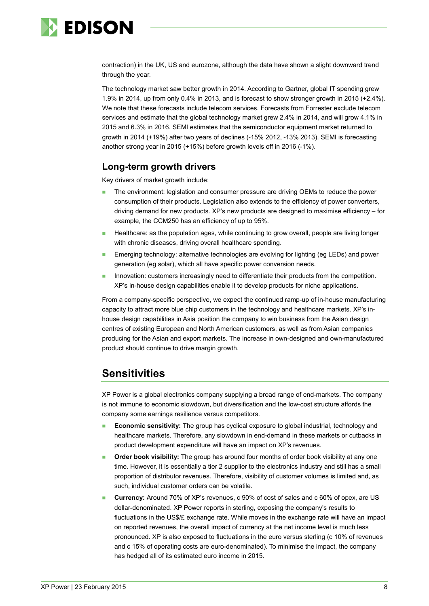

contraction) in the UK, US and eurozone, although the data have shown a slight downward trend through the year.

The technology market saw better growth in 2014. According to Gartner, global IT spending grew 1.9% in 2014, up from only 0.4% in 2013, and is forecast to show stronger growth in 2015 (+2.4%). We note that these forecasts include telecom services. Forecasts from Forrester exclude telecom services and estimate that the global technology market grew 2.4% in 2014, and will grow 4.1% in 2015 and 6.3% in 2016. SEMI estimates that the semiconductor equipment market returned to growth in 2014 (+19%) after two years of declines (-15% 2012, -13% 2013). SEMI is forecasting another strong year in 2015 (+15%) before growth levels off in 2016 (-1%).

### **Long-term growth drivers**

Key drivers of market growth include:

- The environment: legislation and consumer pressure are driving OEMs to reduce the power consumption of their products. Legislation also extends to the efficiency of power converters, driving demand for new products. XP's new products are designed to maximise efficiency – for example, the CCM250 has an efficiency of up to 95%.
- Healthcare: as the population ages, while continuing to grow overall, people are living longer with chronic diseases, driving overall healthcare spending.
- Emerging technology: alternative technologies are evolving for lighting (eg LEDs) and power generation (eg solar), which all have specific power conversion needs.
- Innovation: customers increasingly need to differentiate their products from the competition. XP's in-house design capabilities enable it to develop products for niche applications.

From a company-specific perspective, we expect the continued ramp-up of in-house manufacturing capacity to attract more blue chip customers in the technology and healthcare markets. XP's inhouse design capabilities in Asia position the company to win business from the Asian design centres of existing European and North American customers, as well as from Asian companies producing for the Asian and export markets. The increase in own-designed and own-manufactured product should continue to drive margin growth.

### **Sensitivities**

XP Power is a global electronics company supplying a broad range of end-markets. The company is not immune to economic slowdown, but diversification and the low-cost structure affords the company some earnings resilience versus competitors.

- **Economic sensitivity:** The group has cyclical exposure to global industrial, technology and healthcare markets. Therefore, any slowdown in end-demand in these markets or cutbacks in product development expenditure will have an impact on XP's revenues.
- **Order book visibility:** The group has around four months of order book visibility at any one time. However, it is essentially a tier 2 supplier to the electronics industry and still has a small proportion of distributor revenues. Therefore, visibility of customer volumes is limited and, as such, individual customer orders can be volatile.
- **Currency:** Around 70% of XP's revenues, c 90% of cost of sales and c 60% of opex, are US dollar-denominated. XP Power reports in sterling, exposing the company's results to fluctuations in the US\$/£ exchange rate. While moves in the exchange rate will have an impact on reported revenues, the overall impact of currency at the net income level is much less pronounced. XP is also exposed to fluctuations in the euro versus sterling (c 10% of revenues and c 15% of operating costs are euro-denominated). To minimise the impact, the company has hedged all of its estimated euro income in 2015.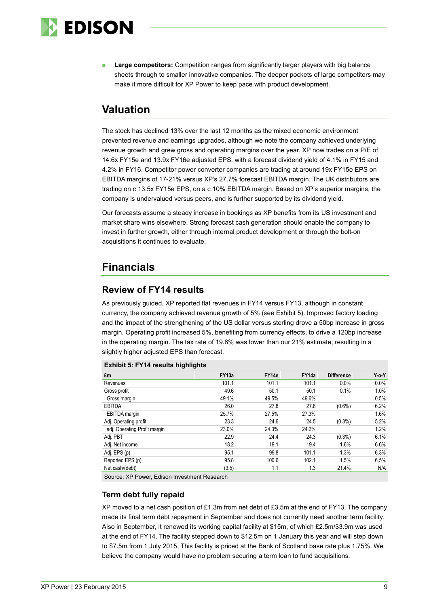

 **Large competitors:** Competition ranges from significantly larger players with big balance sheets through to smaller innovative companies. The deeper pockets of large competitors may make it more difficult for XP Power to keep pace with product development.

### **Valuation**

The stock has declined 13% over the last 12 months as the mixed economic environment prevented revenue and earnings upgrades, although we note the company achieved underlying revenue growth and grew gross and operating margins over the year. XP now trades on a P/E of 14.6x FY15e and 13.9x FY16e adjusted EPS, with a forecast dividend yield of 4.1% in FY15 and 4.2% in FY16. Competitor power converter companies are trading at around 19x FY15e EPS on EBITDA margins of 17-21% versus XP's 27.7% forecast EBITDA margin. The UK distributors are trading on c 13.5x FY15e EPS, on a c 10% EBITDA margin. Based on XP's superior margins, the company is undervalued versus peers, and is further supported by its dividend yield.

Our forecasts assume a steady increase in bookings as XP benefits from its US investment and market share wins elsewhere. Strong forecast cash generation should enable the company to invest in further growth, either through internal product development or through the bolt-on acquisitions it continues to evaluate.

### **Financials**

### **Review of FY14 results**

As previously guided, XP reported flat revenues in FY14 versus FY13, although in constant currency, the company achieved revenue growth of 5% (see Exhibit 5). Improved factory loading and the impact of the strengthening of the US dollar versus sterling drove a 50bp increase in gross margin. Operating profit increased 5%, benefiting from currency effects, to drive a 120bp increase in the operating margin. The tax rate of 19.8% was lower than our 21% estimate, resulting in a slightly higher adjusted EPS than forecast.

#### **Exhibit 5: FY14 results highlights**

| £m                           | FY <sub>13a</sub> | FY14e | FY14a | <b>Difference</b> | $Y$ -o- $Y$ |
|------------------------------|-------------------|-------|-------|-------------------|-------------|
| Revenues                     | 101.1             | 101.1 | 101.1 | 0.0%              | 0.0%        |
| Gross profit                 | 49.6              | 50.1  | 50.1  | 0.1%              | 1.0%        |
| Gross margin                 | 49.1%             | 49.5% | 49.6% |                   | 0.5%        |
| EBITDA                       | 26.0              | 27.8  | 27.6  | $(0.6\%)$         | 6.2%        |
| EBITDA margin                | 25.7%             | 27.5% | 27.3% |                   | 1.6%        |
| Adj. Operating profit        | 23.3              | 24.6  | 24.5  | $(0.3\%)$         | 5.2%        |
| adj. Operating Profit margin | 23.0%             | 24.3% | 24.2% |                   | 1.2%        |
| Adj. PBT                     | 22.9              | 24.4  | 24.3  | $(0.3\%)$         | 6.1%        |
| Adj. Net income              | 18.2              | 19.1  | 19.4  | 1.6%              | 6.6%        |
| Adj. EPS (p)                 | 95.1              | 99.8  | 101.1 | 1.3%              | 6.3%        |
| Reported EPS (p)             | 95.8              | 100.6 | 102.1 | 1.5%              | 6.5%        |
| Net cash/(debt)              | (3.5)             | 1.1   | 1.3   | 21.4%             | N/A         |

Source: XP Power, Edison Investment Research

#### **Term debt fully repaid**

XP moved to a net cash position of £1.3m from net debt of £3.5m at the end of FY13. The company made its final term debt repayment in September and does not currently need another term facility. Also in September, it renewed its working capital facility at \$15m, of which £2.5m/\$3.9m was used at the end of FY14. The facility stepped down to \$12.5m on 1 January this year and will step down to \$7.5m from 1 July 2015. This facility is priced at the Bank of Scotland base rate plus 1.75%. We believe the company would have no problem securing a term loan to fund acquisitions.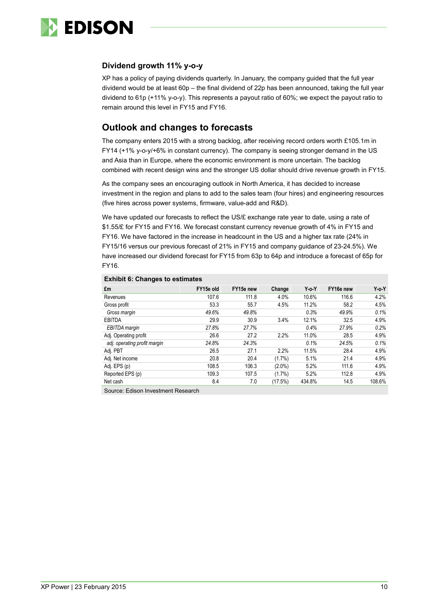

#### **Dividend growth 11% y-o-y**

XP has a policy of paying dividends quarterly. In January, the company guided that the full year dividend would be at least 60p – the final dividend of 22p has been announced, taking the full year dividend to 61p (+11% y-o-y). This represents a payout ratio of 60%; we expect the payout ratio to remain around this level in FY15 and FY16.

### **Outlook and changes to forecasts**

The company enters 2015 with a strong backlog, after receiving record orders worth £105.1m in FY14 (+1% y-o-y/+6% in constant currency). The company is seeing stronger demand in the US and Asia than in Europe, where the economic environment is more uncertain. The backlog combined with recent design wins and the stronger US dollar should drive revenue growth in FY15.

As the company sees an encouraging outlook in North America, it has decided to increase investment in the region and plans to add to the sales team (four hires) and engineering resources (five hires across power systems, firmware, value-add and R&D).

We have updated our forecasts to reflect the US/£ exchange rate year to date, using a rate of \$1.55/£ for FY15 and FY16. We forecast constant currency revenue growth of 4% in FY15 and FY16. We have factored in the increase in headcount in the US and a higher tax rate (24% in FY15/16 versus our previous forecast of 21% in FY15 and company guidance of 23-24.5%). We have increased our dividend forecast for FY15 from 63p to 64p and introduce a forecast of 65p for FY16.

| £m                           | FY15e old | FY15e new | Change    | $Y_0 Y$ | FY16e new | Yo Y   |
|------------------------------|-----------|-----------|-----------|---------|-----------|--------|
| Revenues                     | 107.6     | 111.8     | 4.0%      | 10.6%   | 116.6     | 4.2%   |
| Gross profit                 | 53.3      | 55.7      | 4.5%      | 11.2%   | 58.2      | 4.5%   |
| Gross margin                 | 49.6%     | 49.8%     |           | 0.3%    | 49.9%     | 0.1%   |
| <b>EBITDA</b>                | 29.9      | 30.9      | 3.4%      | 12.1%   | 32.5      | 4.9%   |
| EBITDA margin                | 27.8%     | 27.7%     |           | 0.4%    | 27.9%     | 0.2%   |
| Adj. Operating profit        | 26.6      | 27.2      | 2.2%      | 11.0%   | 28.5      | 4.9%   |
| adj. operating profit margin | 24.8%     | 24.3%     |           | 0.1%    | 24.5%     | 0.1%   |
| Adj. PBT                     | 26.5      | 27.1      | 2.2%      | 11.5%   | 28.4      | 4.9%   |
| Adj. Net income              | 20.8      | 20.4      | $(1.7\%)$ | 5.1%    | 21.4      | 4.9%   |
| Adj. EPS (p)                 | 108.5     | 106.3     | $(2.0\%)$ | 5.2%    | 111.6     | 4.9%   |
| Reported EPS (p)             | 109.3     | 107.5     | $(1.7\%)$ | 5.2%    | 112.8     | 4.9%   |
| Net cash                     | 8.4       | 7.0       | (17.5%)   | 434.8%  | 14.5      | 108.6% |

#### **Exhibit 6: Changes to estimates**

Source: Edison Investment Research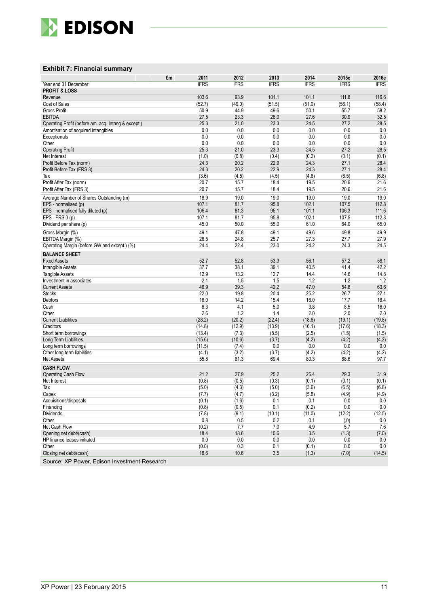

#### **Exhibit 7: Financial summary**

|                                                     | 2011<br>£m     | 2012           | 2013            | 2014            | 2015e          | 2016e          |
|-----------------------------------------------------|----------------|----------------|-----------------|-----------------|----------------|----------------|
| Year end 31 December                                | <b>IFRS</b>    | <b>IFRS</b>    | <b>IFRS</b>     | <b>IFRS</b>     | <b>IFRS</b>    | <b>IFRS</b>    |
| <b>PROFIT &amp; LOSS</b>                            |                |                |                 |                 |                |                |
| Revenue<br>Cost of Sales                            | 103.6          | 93.9           | 101.1<br>(51.5) | 101.1<br>(51.0) | 111.8          | 116.6          |
| <b>Gross Profit</b>                                 | (52.7)<br>50.9 | (49.0)<br>44.9 | 49.6            | 50.1            | (56.1)<br>55.7 | (58.4)<br>58.2 |
| <b>EBITDA</b>                                       | 27.5           | 23.3           | 26.0            | 27.6            | 30.9           | 32.5           |
| Operating Profit (before am. acq. Intang & except.) | 25.3           | 21.0           | 23.3            | 24.5            | 27.2           | 28.5           |
| Amortisation of acquired intangibles                | 0.0            | 0.0            | 0.0             | 0.0             | 0.0            | 0.0            |
| Exceptionals                                        | 0.0            | 0.0            | 0.0             | 0.0             | 0.0            | 0.0            |
| Other                                               | 0.0            | 0.0            | 0.0             | 0.0             | 0.0            | 0.0            |
| <b>Operating Profit</b>                             | 25.3           | 21.0           | 23.3            | 24.5            | 27.2           | 28.5           |
| Net Interest                                        | (1.0)          | (0.8)          | (0.4)           | (0.2)           | (0.1)          | (0.1)          |
| Profit Before Tax (norm)                            | 24.3           | 20.2           | 22.9            | 24.3            | 27.1           | 28.4           |
| Profit Before Tax (FRS 3)                           | 24.3           | 20.2           | 22.9            | 24.3            | 27.1           | 28.4           |
| Tax                                                 | (3.6)          | (4.5)          | (4.5)           | (4.8)           | (6.5)          | (6.8)          |
| Profit After Tax (norm)                             | 20.7           | 15.7           | 18.4            | 19.5            | 20.6           | 21.6           |
| Profit After Tax (FRS 3)                            | 20.7           | 15.7           | 18.4            | 19.5            | 20.6           | 21.6           |
| Average Number of Shares Outstanding (m)            | 18.9           | 19.0           | 19.0            | 19.0            | 19.0           | 19.0           |
| EPS - normalised (p)                                | 107.1          | 81.7           | 95.8            | 102.1           | 107.5          | 112.8          |
| EPS - normalised fully diluted (p)                  | 106.4          | 81.3           | 95.1            | 101.1           | 106.3          | 111.6          |
| EPS - FRS 3 (p)                                     | 107.1<br>45.0  | 81.7<br>50.0   | 95.8<br>55.0    | 102.1<br>61.0   | 107.5<br>64.0  | 112.8<br>65.0  |
| Dividend per share (p)                              |                |                |                 |                 |                |                |
| Gross Margin (%)                                    | 49.1           | 47.8           | 49.1            | 49.6            | 49.8           | 49.9           |
| EBITDA Margin (%)                                   | 26.5           | 24.8           | 25.7            | 27.3            | 27.7           | 27.9           |
| Operating Margin (before GW and except.) (%)        | 24.4           | 22.4           | 23.0            | 24.2            | 24.3           | 24.5           |
| <b>BALANCE SHEET</b>                                |                |                |                 |                 |                |                |
| <b>Fixed Assets</b>                                 | 52.7           | 52.8           | 53.3            | 56.1            | 57.2           | 58.1           |
| Intangible Assets                                   | 37.7           | 38.1           | 39.1            | 40.5<br>14.4    | 41.4           | 42.2           |
| <b>Tangible Assets</b><br>Investment in associates  | 12.9<br>2.1    | 13.2<br>1.5    | 12.7<br>1.5     | 1.2             | 14.6<br>1.2    | 14.8<br>1.2    |
| <b>Current Assets</b>                               | 46.9           | 39.3           | 42.2            | 47.0            | 54.8           | 63.6           |
| <b>Stocks</b>                                       | 22.0           | 19.8           | 20.4            | 25.2            | 26.7           | 27.1           |
| Debtors                                             | 16.0           | 14.2           | 15.4            | 16.0            | 17.7           | 18.4           |
| Cash                                                | 6.3            | 4.1            | 5.0             | 3.8             | 8.5            | 16.0           |
| Other                                               | 2.6            | 1.2            | 1.4             | 2.0             | 2.0            | 2.0            |
| <b>Current Liabilities</b>                          | (28.2)         | (20.2)         | (22.4)          | (18.6)          | (19.1)         | (19.8)         |
| Creditors                                           | (14.8)         | (12.9)         | (13.9)          | (16.1)          | (17.6)         | (18.3)         |
| Short term borrowings                               | (13.4)         | (7.3)          | (8.5)           | (2.5)           | (1.5)          | (1.5)          |
| Long Term Liabilities                               | (15.6)         | (10.6)         | (3.7)           | (4.2)           | (4.2)          | (4.2)          |
| Long term borrowings                                | (11.5)         | (7.4)          | 0.0             | 0.0             | 0.0            | 0.0            |
| Other long term liabilities<br><b>Net Assets</b>    | (4.1)<br>55.8  | (3.2)<br>61.3  | (3.7)<br>69.4   | (4.2)<br>80.3   | (4.2)<br>88.6  | (4.2)<br>97.7  |
|                                                     |                |                |                 |                 |                |                |
| <b>CASH FLOW</b>                                    |                |                |                 |                 |                |                |
| <b>Operating Cash Flow</b><br>Net Interest          | 21.2<br>(0.8)  | 27.9<br>(0.5)  | 25.2<br>(0.3)   | 25.4<br>(0.1)   | 29.3<br>(0.1)  | 31.9           |
| Tax                                                 | (5.0)          | (4.3)          | (5.0)           | (3.6)           | (6.5)          | (0.1)<br>(6.8) |
| Capex                                               | (7.7)          | (4.7)          | (3.2)           | (5.8)           | (4.9)          | (4.9)          |
| Acquisitions/disposals                              | (0.1)          | (1.6)          | 0.1             | 0.1             | 0.0            | 0.0            |
| Financing                                           | (0.8)          | (0.5)          | 0.1             | (0.2)           | 0.0            | 0.0            |
| Dividends                                           | (7.8)          | (9.1)          | (10.1)          | (11.0)          | (12.2)         | (12.5)         |
| Other                                               | 0.8            | 0.5            | 0.2             | 0.1             | (0.0)          | 0.0            |
| Net Cash Flow                                       | (0.2)          | 7.7            | 7.0             | 4.9             | 5.7            | 7.6            |
| Opening net debt/(cash)                             | 18.4           | 18.6           | 10.6            | 3.5             | (1.3)          | (7.0)          |
| HP finance leases initiated                         | 0.0            | 0.0            | 0.0             | 0.0             | 0.0            | 0.0            |
| Other                                               | (0.0)          | 0.3            | 0.1             | (0.1)           | 0.0            | 0.0            |
| Closing net debt/(cash)                             | 18.6           | 10.6           | 3.5             | (1.3)           | (7.0)          | (14.5)         |

Source: XP Power, Edison Investment Research